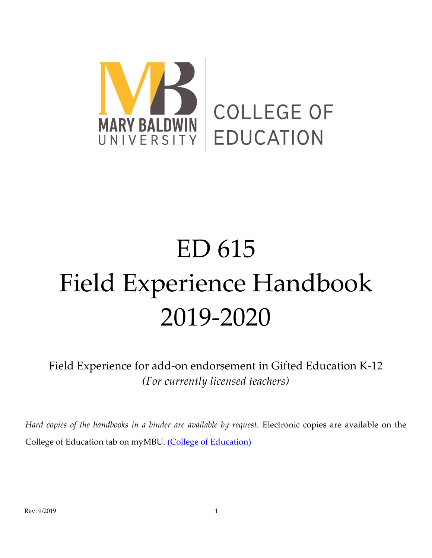

# ED 615 Field Experience Handbook 2019-2020

Field Experience for add-on endorsement in Gifted Education K-12 *(For currently licensed teachers)*

*Hard copies of the handbooks in a binder are available by request.* Electronic copies are available on the College of Education tab on myMBU. [\(College of Education\)](https://mymbu.marybaldwin.edu/ICS/College_of_Education/Default_Page.jnz?portlet=Practica_and_Student_Teaching_Forms_and_Documents)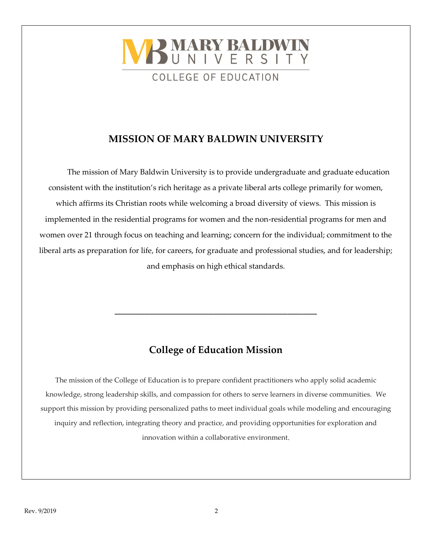

## **MISSION OF MARY BALDWIN UNIVERSITY**

The mission of Mary Baldwin University is to provide undergraduate and graduate education consistent with the institution's rich heritage as a private liberal arts college primarily for women, which affirms its Christian roots while welcoming a broad diversity of views. This mission is implemented in the residential programs for women and the non-residential programs for men and women over 21 through focus on teaching and learning; concern for the individual; commitment to the liberal arts as preparation for life, for careers, for graduate and professional studies, and for leadership; and emphasis on high ethical standards.

# **College of Education Mission**

**\_\_\_\_\_\_\_\_\_\_\_\_\_\_\_\_\_\_\_\_\_\_\_\_\_\_\_\_\_\_\_\_\_\_\_\_\_\_\_\_\_**

The mission of the College of Education is to prepare confident practitioners who apply solid academic knowledge, strong leadership skills, and compassion for others to serve learners in diverse communities. We support this mission by providing personalized paths to meet individual goals while modeling and encouraging inquiry and reflection, integrating theory and practice, and providing opportunities for exploration and innovation within a collaborative environment.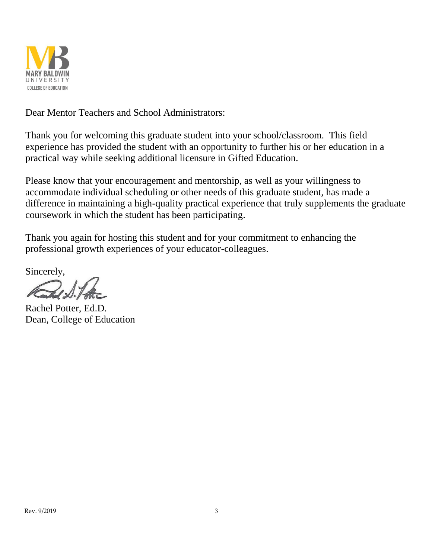

Dear Mentor Teachers and School Administrators:

Thank you for welcoming this graduate student into your school/classroom. This field experience has provided the student with an opportunity to further his or her education in a practical way while seeking additional licensure in Gifted Education.

Please know that your encouragement and mentorship, as well as your willingness to accommodate individual scheduling or other needs of this graduate student, has made a difference in maintaining a high-quality practical experience that truly supplements the graduate coursework in which the student has been participating.

Thank you again for hosting this student and for your commitment to enhancing the professional growth experiences of your educator-colleagues.

Sincerely,

Rachel Potter, Ed.D. Dean, College of Education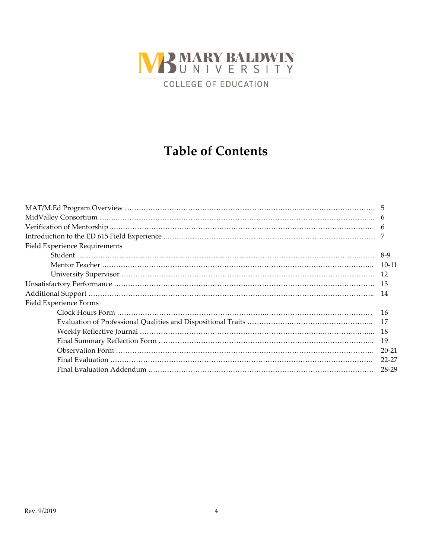

# **Table of Contents**

| Field Experience Requirements |           |
|-------------------------------|-----------|
|                               |           |
|                               |           |
|                               |           |
|                               |           |
|                               |           |
| Field Experience Forms        |           |
|                               | 16        |
|                               |           |
|                               |           |
|                               |           |
|                               | $20 - 21$ |
|                               | 22-27     |
|                               | 28-29     |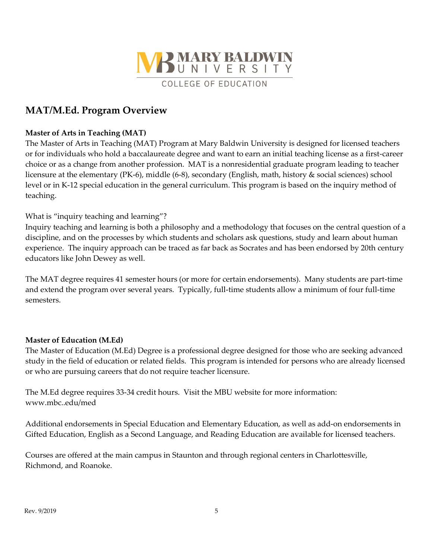

## **MAT/M.Ed. Program Overview**

#### **Master of Arts in Teaching (MAT)**

The Master of Arts in Teaching (MAT) Program at Mary Baldwin University is designed for licensed teachers or for individuals who hold a baccalaureate degree and want to earn an initial teaching license as a first-career choice or as a change from another profession. MAT is a nonresidential graduate program leading to teacher licensure at the elementary (PK-6), middle (6-8), secondary (English, math, history & social sciences) school level or in K-12 special education in the general curriculum. This program is based on the inquiry method of teaching.

### What is "inquiry teaching and learning"?

Inquiry teaching and learning is both a philosophy and a methodology that focuses on the central question of a discipline, and on the processes by which students and scholars ask questions, study and learn about human experience. The inquiry approach can be traced as far back as Socrates and has been endorsed by 20th century educators like John Dewey as well.

The MAT degree requires 41 semester hours (or more for certain endorsements). Many students are part-time and extend the program over several years. Typically, full-time students allow a minimum of four full-time semesters.

#### **Master of Education (M.Ed)**

The Master of Education (M.Ed) Degree is a professional degree designed for those who are seeking advanced study in the field of education or related fields. This program is intended for persons who are already licensed or who are pursuing careers that do not require teacher licensure.

The M.Ed degree requires 33-34 credit hours. Visit the MBU website for more information: www.mbc..edu/med

Additional endorsements in Special Education and Elementary Education, as well as add-on endorsements in Gifted Education, English as a Second Language, and Reading Education are available for licensed teachers.

Courses are offered at the main campus in Staunton and through regional centers in Charlottesville, Richmond, and Roanoke.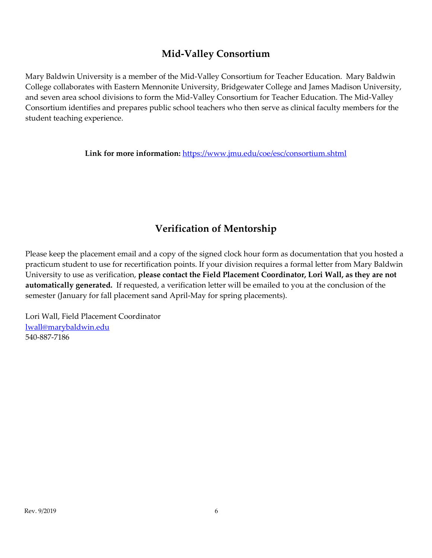## **Mid-Valley Consortium**

Mary Baldwin University is a member of the Mid-Valley Consortium for Teacher Education. Mary Baldwin College collaborates with Eastern Mennonite University, Bridgewater College and James Madison University, and seven area school divisions to form the Mid-Valley Consortium for Teacher Education. The Mid-Valley Consortium identifies and prepares public school teachers who then serve as clinical faculty members for the student teaching experience.

**Link for more information:** <https://www.jmu.edu/coe/esc/consortium.shtml>

# **Verification of Mentorship**

Please keep the placement email and a copy of the signed clock hour form as documentation that you hosted a practicum student to use for recertification points. If your division requires a formal letter from Mary Baldwin University to use as verification, **please contact the Field Placement Coordinator, Lori Wall, as they are not automatically generated.** If requested, a verification letter will be emailed to you at the conclusion of the semester (January for fall placement sand April-May for spring placements).

Lori Wall, Field Placement Coordinator [lwall@marybaldwin.edu](mailto:lwall@marybaldwin.edu) 540-887-7186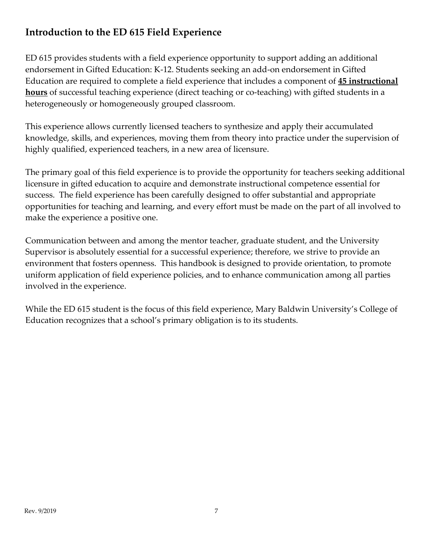# **Introduction to the ED 615 Field Experience**

ED 615 provides students with a field experience opportunity to support adding an additional endorsement in Gifted Education: K-12. Students seeking an add-on endorsement in Gifted Education are required to complete a field experience that includes a component of **45 instructional hours** of successful teaching experience (direct teaching or co-teaching) with gifted students in a heterogeneously or homogeneously grouped classroom.

This experience allows currently licensed teachers to synthesize and apply their accumulated knowledge, skills, and experiences, moving them from theory into practice under the supervision of highly qualified, experienced teachers, in a new area of licensure.

The primary goal of this field experience is to provide the opportunity for teachers seeking additional licensure in gifted education to acquire and demonstrate instructional competence essential for success. The field experience has been carefully designed to offer substantial and appropriate opportunities for teaching and learning, and every effort must be made on the part of all involved to make the experience a positive one.

Communication between and among the mentor teacher, graduate student, and the University Supervisor is absolutely essential for a successful experience; therefore, we strive to provide an environment that fosters openness. This handbook is designed to provide orientation, to promote uniform application of field experience policies, and to enhance communication among all parties involved in the experience.

While the ED 615 student is the focus of this field experience, Mary Baldwin University's College of Education recognizes that a school's primary obligation is to its students.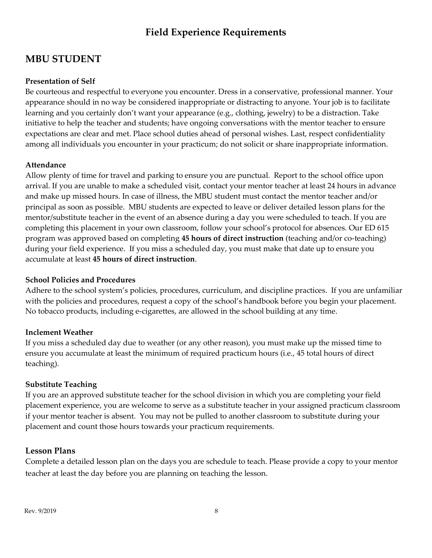# **Field Experience Requirements**

## **MBU STUDENT**

## **Presentation of Self**

Be courteous and respectful to everyone you encounter. Dress in a conservative, professional manner. Your appearance should in no way be considered inappropriate or distracting to anyone. Your job is to facilitate learning and you certainly don't want your appearance (e.g., clothing, jewelry) to be a distraction. Take initiative to help the teacher and students; have ongoing conversations with the mentor teacher to ensure expectations are clear and met. Place school duties ahead of personal wishes. Last, respect confidentiality among all individuals you encounter in your practicum; do not solicit or share inappropriate information.

### **Attendance**

Allow plenty of time for travel and parking to ensure you are punctual. Report to the school office upon arrival. If you are unable to make a scheduled visit, contact your mentor teacher at least 24 hours in advance and make up missed hours. In case of illness, the MBU student must contact the mentor teacher and/or principal as soon as possible. MBU students are expected to leave or deliver detailed lesson plans for the mentor/substitute teacher in the event of an absence during a day you were scheduled to teach. If you are completing this placement in your own classroom, follow your school's protocol for absences. Our ED 615 program was approved based on completing **45 hours of direct instruction** (teaching and/or co-teaching) during your field experience. If you miss a scheduled day, you must make that date up to ensure you accumulate at least **45 hours of direct instruction**.

#### **School Policies and Procedures**

Adhere to the school system's policies, procedures, curriculum, and discipline practices. If you are unfamiliar with the policies and procedures, request a copy of the school's handbook before you begin your placement. No tobacco products, including e-cigarettes, are allowed in the school building at any time.

## **Inclement Weather**

If you miss a scheduled day due to weather (or any other reason), you must make up the missed time to ensure you accumulate at least the minimum of required practicum hours (i.e., 45 total hours of direct teaching).

## **Substitute Teaching**

If you are an approved substitute teacher for the school division in which you are completing your field placement experience, you are welcome to serve as a substitute teacher in your assigned practicum classroom if your mentor teacher is absent. You may not be pulled to another classroom to substitute during your placement and count those hours towards your practicum requirements.

## **Lesson Plans**

Complete a detailed lesson plan on the days you are schedule to teach. Please provide a copy to your mentor teacher at least the day before you are planning on teaching the lesson.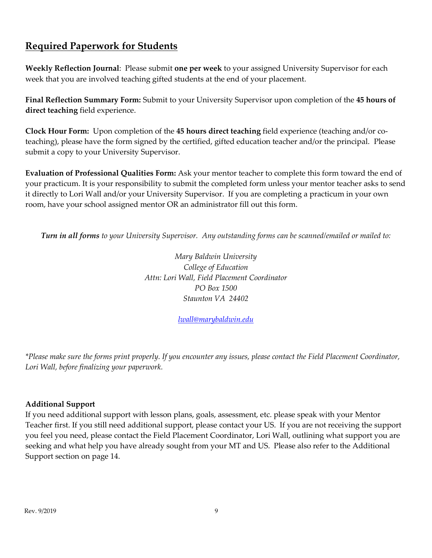## **Required Paperwork for Students**

**Weekly Reflection Journal**: Please submit **one per week** to your assigned University Supervisor for each week that you are involved teaching gifted students at the end of your placement.

**Final Reflection Summary Form:** Submit to your University Supervisor upon completion of the **45 hours of direct teaching** field experience.

**Clock Hour Form:** Upon completion of the **45 hours direct teaching** field experience (teaching and/or coteaching), please have the form signed by the certified, gifted education teacher and/or the principal. Please submit a copy to your University Supervisor.

**Evaluation of Professional Qualities Form:** Ask your mentor teacher to complete this form toward the end of your practicum. It is your responsibility to submit the completed form unless your mentor teacher asks to send it directly to Lori Wall and/or your University Supervisor. If you are completing a practicum in your own room, have your school assigned mentor OR an administrator fill out this form.

*Turn in all forms to your University Supervisor. Any outstanding forms can be scanned/emailed or mailed to:*

*Mary Baldwin University College of Education Attn: Lori Wall, Field Placement Coordinator PO Box 1500 Staunton VA 24402*

*[lwall@marybaldwin.edu](mailto:lwall@marybaldwin.edu)*

*\*Please make sure the forms print properly. If you encounter any issues, please contact the Field Placement Coordinator, Lori Wall, before finalizing your paperwork.*

## **Additional Support**

If you need additional support with lesson plans, goals, assessment, etc. please speak with your Mentor Teacher first. If you still need additional support, please contact your US. If you are not receiving the support you feel you need, please contact the Field Placement Coordinator, Lori Wall, outlining what support you are seeking and what help you have already sought from your MT and US. Please also refer to the Additional Support section on page 14.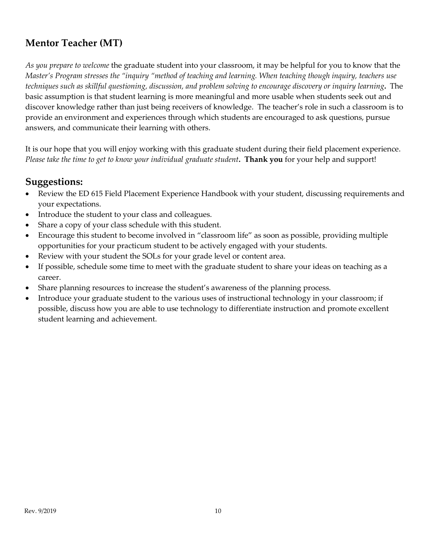# **Mentor Teacher (MT)**

*As you prepare to welcome* the graduate student into your classroom, it may be helpful for you to know that the *Master's Program stresses the "inquiry "method of teaching and learning. When teaching though inquiry, teachers use techniques such as skillful questioning, discussion, and problem solving to encourage discovery or inquiry learning***.** The basic assumption is that student learning is more meaningful and more usable when students seek out and discover knowledge rather than just being receivers of knowledge. The teacher's role in such a classroom is to provide an environment and experiences through which students are encouraged to ask questions, pursue answers, and communicate their learning with others.

It is our hope that you will enjoy working with this graduate student during their field placement experience. *Please take the time to get to know your individual graduate student***. Thank you** for your help and support!

## **Suggestions:**

- Review the ED 615 Field Placement Experience Handbook with your student, discussing requirements and your expectations.
- Introduce the student to your class and colleagues.
- Share a copy of your class schedule with this student.
- Encourage this student to become involved in "classroom life" as soon as possible, providing multiple opportunities for your practicum student to be actively engaged with your students.
- Review with your student the SOLs for your grade level or content area.
- If possible, schedule some time to meet with the graduate student to share your ideas on teaching as a career.
- Share planning resources to increase the student's awareness of the planning process.
- Introduce your graduate student to the various uses of instructional technology in your classroom; if possible, discuss how you are able to use technology to differentiate instruction and promote excellent student learning and achievement.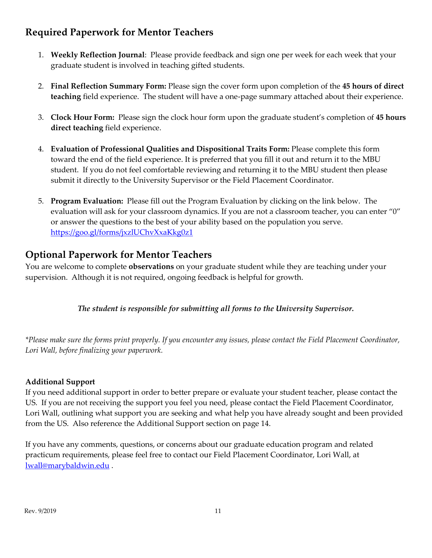# **Required Paperwork for Mentor Teachers**

- 1. **Weekly Reflection Journal**: Please provide feedback and sign one per week for each week that your graduate student is involved in teaching gifted students.
- 2. **Final Reflection Summary Form:** Please sign the cover form upon completion of the **45 hours of direct teaching** field experience. The student will have a one-page summary attached about their experience.
- 3. **Clock Hour Form:** Please sign the clock hour form upon the graduate student's completion of **45 hours direct teaching** field experience.
- 4. **Evaluation of Professional Qualities and Dispositional Traits Form:** Please complete this form toward the end of the field experience. It is preferred that you fill it out and return it to the MBU student. If you do not feel comfortable reviewing and returning it to the MBU student then please submit it directly to the University Supervisor or the Field Placement Coordinator.
- 5. **Program Evaluation:** Please fill out the Program Evaluation by clicking on the link below. The evaluation will ask for your classroom dynamics. If you are not a classroom teacher, you can enter "0" or answer the questions to the best of your ability based on the population you serve. <https://goo.gl/forms/jxzlUChvXxaKkg0z1>

# **Optional Paperwork for Mentor Teachers**

You are welcome to complete **observations** on your graduate student while they are teaching under your supervision. Although it is not required, ongoing feedback is helpful for growth.

## *The student is responsible for submitting all forms to the University Supervisor.*

*\*Please make sure the forms print properly. If you encounter any issues, please contact the Field Placement Coordinator, Lori Wall, before finalizing your paperwork.*

## **Additional Support**

If you need additional support in order to better prepare or evaluate your student teacher, please contact the US. If you are not receiving the support you feel you need, please contact the Field Placement Coordinator, Lori Wall, outlining what support you are seeking and what help you have already sought and been provided from the US. Also reference the Additional Support section on page 14.

If you have any comments, questions, or concerns about our graduate education program and related practicum requirements, please feel free to contact our Field Placement Coordinator, Lori Wall, at [lwall@marybaldwin.edu](mailto:lwall@marybaldwin.edu) .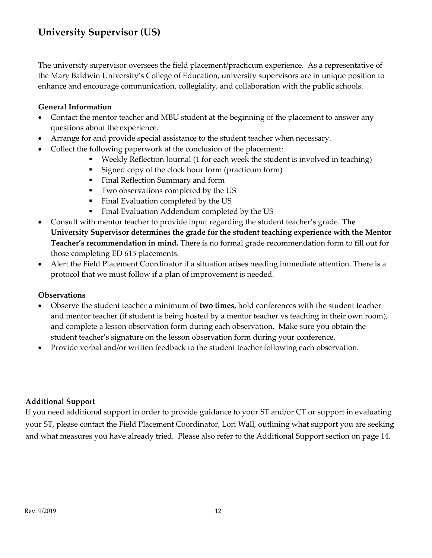The university supervisor oversees the field placement/practicum experience. As a representative of the Mary Baldwin University's College of Education, university supervisors are in unique position to enhance and encourage communication, collegiality, and collaboration with the public schools.

### **General Information**

- Contact the mentor teacher and MBU student at the beginning of the placement to answer any questions about the experience.
- Arrange for and provide special assistance to the student teacher when necessary.
- Collect the following paperwork at the conclusion of the placement:
	- Weekly Reflection Journal (1 for each week the student is involved in teaching)
	- Signed copy of the clock hour form (practicum form)
	- Final Reflection Summary and form
	- Two observations completed by the US
	- Final Evaluation completed by the US
	- Final Evaluation Addendum completed by the US
- Consult with mentor teacher to provide input regarding the student teacher's grade. **The University Supervisor determines the grade for the student teaching experience with the Mentor Teacher's recommendation in mind.** There is no formal grade recommendation form to fill out for those completing ED 615 placements.
- Alert the Field Placement Coordinator if a situation arises needing immediate attention. There is a protocol that we must follow if a plan of improvement is needed.

#### **Observations**

- Observe the student teacher a minimum of **two times,** hold conferences with the student teacher and mentor teacher (if student is being hosted by a mentor teacher vs teaching in their own room), and complete a lesson observation form during each observation. Make sure you obtain the student teacher's signature on the lesson observation form during your conference.
- Provide verbal and/or written feedback to the student teacher following each observation.

## **Additional Support**

If you need additional support in order to provide guidance to your ST and/or CT or support in evaluating your ST, please contact the Field Placement Coordinator, Lori Wall, outlining what support you are seeking and what measures you have already tried. Please also refer to the Additional Support section on page 14.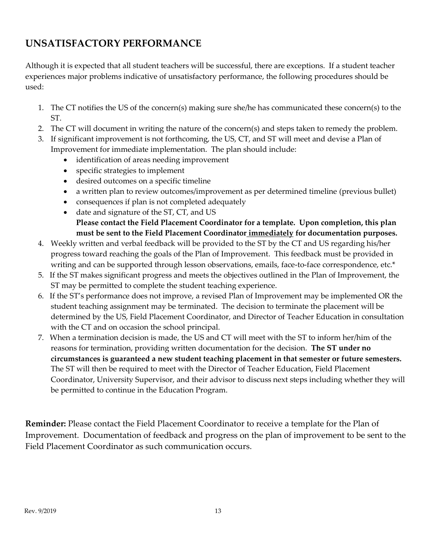# **UNSATISFACTORY PERFORMANCE**

Although it is expected that all student teachers will be successful, there are exceptions. If a student teacher experiences major problems indicative of unsatisfactory performance, the following procedures should be used:

- 1. The CT notifies the US of the concern(s) making sure she/he has communicated these concern(s) to the ST.
- 2. The CT will document in writing the nature of the concern(s) and steps taken to remedy the problem.
- 3. If significant improvement is not forthcoming, the US, CT, and ST will meet and devise a Plan of Improvement for immediate implementation. The plan should include:
	- identification of areas needing improvement
	- specific strategies to implement
	- desired outcomes on a specific timeline
	- a written plan to review outcomes/improvement as per determined timeline (previous bullet)
	- consequences if plan is not completed adequately
	- date and signature of the ST, CT, and US **Please contact the Field Placement Coordinator for a template. Upon completion, this plan must be sent to the Field Placement Coordinator immediately for documentation purposes.**
- 4. Weekly written and verbal feedback will be provided to the ST by the CT and US regarding his/her progress toward reaching the goals of the Plan of Improvement. This feedback must be provided in writing and can be supported through lesson observations, emails, face-to-face correspondence, etc.\*
- 5. If the ST makes significant progress and meets the objectives outlined in the Plan of Improvement, the ST may be permitted to complete the student teaching experience.
- 6. If the ST's performance does not improve, a revised Plan of Improvement may be implemented OR the student teaching assignment may be terminated. The decision to terminate the placement will be determined by the US, Field Placement Coordinator, and Director of Teacher Education in consultation with the CT and on occasion the school principal.
- 7. When a termination decision is made, the US and CT will meet with the ST to inform her/him of the reasons for termination, providing written documentation for the decision. **The ST under no circumstances is guaranteed a new student teaching placement in that semester or future semesters.**  The ST will then be required to meet with the Director of Teacher Education, Field Placement Coordinator, University Supervisor, and their advisor to discuss next steps including whether they will be permitted to continue in the Education Program.

**Reminder:** Please contact the Field Placement Coordinator to receive a template for the Plan of Improvement. Documentation of feedback and progress on the plan of improvement to be sent to the Field Placement Coordinator as such communication occurs.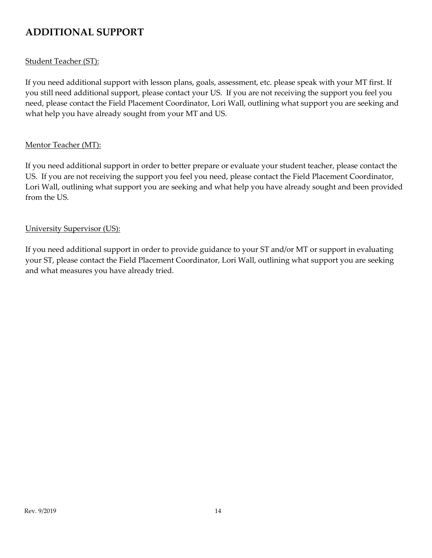# **ADDITIONAL SUPPORT**

### Student Teacher (ST):

If you need additional support with lesson plans, goals, assessment, etc. please speak with your MT first. If you still need additional support, please contact your US. If you are not receiving the support you feel you need, please contact the Field Placement Coordinator, Lori Wall, outlining what support you are seeking and what help you have already sought from your MT and US.

### Mentor Teacher (MT):

If you need additional support in order to better prepare or evaluate your student teacher, please contact the US. If you are not receiving the support you feel you need, please contact the Field Placement Coordinator, Lori Wall, outlining what support you are seeking and what help you have already sought and been provided from the US.

#### University Supervisor (US):

If you need additional support in order to provide guidance to your ST and/or MT or support in evaluating your ST, please contact the Field Placement Coordinator, Lori Wall, outlining what support you are seeking and what measures you have already tried.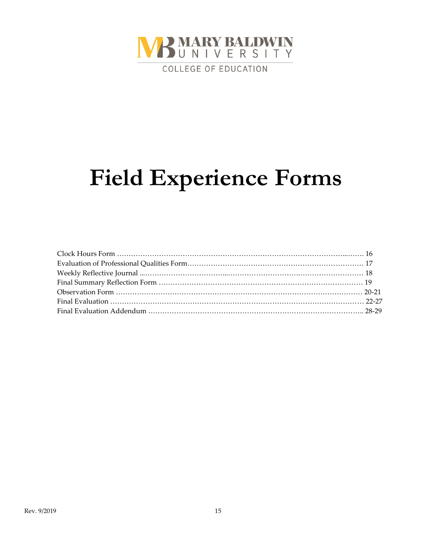

# **Field Experience Forms**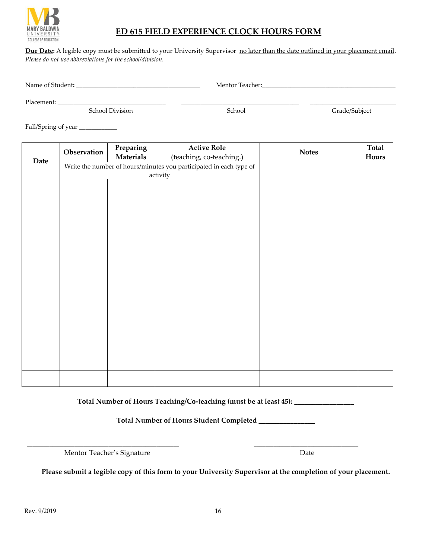

## **ED 615 FIELD EXPERIENCE CLOCK HOURS FORM**

Due Date: A legible copy must be submitted to your University Supervisor no later than the date outlined in your placement email. *Please do not use abbreviations for the school/division.* 

Name of Student**:** \_\_\_\_\_\_\_\_\_\_\_\_\_\_\_\_\_\_\_\_\_\_\_\_\_\_\_\_\_\_\_\_\_\_\_\_\_\_\_ Mentor Teacher:\_\_\_\_\_\_\_\_\_\_\_\_\_\_\_\_\_\_\_\_\_\_\_\_\_\_\_\_\_\_\_\_\_\_\_\_\_\_\_\_\_\_

Placement: \_\_\_\_\_\_\_\_\_\_\_\_\_\_\_\_\_\_\_\_\_\_\_\_\_\_\_\_\_\_\_\_\_\_ \_\_\_\_\_\_\_\_\_\_\_\_\_\_\_\_\_\_\_\_\_\_\_\_\_\_\_\_\_\_\_\_\_\_\_\_\_ \_\_\_\_\_\_\_\_\_\_\_\_\_\_\_\_\_\_\_\_\_\_\_\_\_\_\_

School Division School School Grade/Subject

Fall/Spring of year \_\_\_\_\_\_\_\_\_\_\_\_\_

|      | Observation | Preparing        | <b>Active Role</b>                                                 | <b>Notes</b> | Total |
|------|-------------|------------------|--------------------------------------------------------------------|--------------|-------|
| Date |             | <b>Materials</b> | (teaching, co-teaching.)                                           |              | Hours |
|      |             |                  | Write the number of hours/minutes you participated in each type of |              |       |
|      |             | activity         |                                                                    |              |       |
|      |             |                  |                                                                    |              |       |
|      |             |                  |                                                                    |              |       |
|      |             |                  |                                                                    |              |       |
|      |             |                  |                                                                    |              |       |
|      |             |                  |                                                                    |              |       |
|      |             |                  |                                                                    |              |       |
|      |             |                  |                                                                    |              |       |
|      |             |                  |                                                                    |              |       |
|      |             |                  |                                                                    |              |       |
|      |             |                  |                                                                    |              |       |
|      |             |                  |                                                                    |              |       |
|      |             |                  |                                                                    |              |       |
|      |             |                  |                                                                    |              |       |

**Total Number of Hours Teaching/Co-teaching (must be at least 45): \_\_\_\_\_\_\_\_\_\_\_\_\_\_\_\_\_**

**Total Number of Hours Student Completed \_\_\_\_\_\_\_\_\_\_\_\_\_\_\_\_**

\_\_\_\_\_\_\_\_\_\_\_\_\_\_\_\_\_\_\_\_\_\_\_\_\_\_\_\_\_\_\_\_\_\_\_\_\_\_\_\_\_\_\_\_\_\_\_\_\_\_\_\_\_\_ \_\_\_\_\_\_\_\_\_\_\_\_\_\_\_\_\_\_\_\_\_\_\_\_\_\_\_\_\_\_\_\_\_\_\_\_\_

Mentor Teacher's Signature Date

**Please submit a legible copy of this form to your University Supervisor at the completion of your placement.**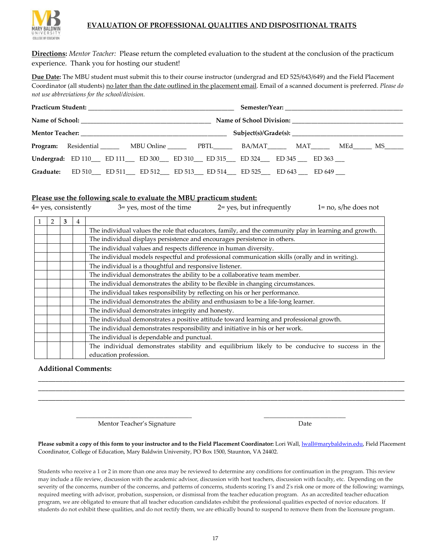

#### **EVALUATION OF PROFESSIONAL QUALITIES AND DISPOSITIONAL TRAITS**

**Directions:** *Mentor Teacher:* Please return the completed evaluation to the student at the conclusion of the practicum experience. Thank you for hosting our student!

**Due Date:** The MBU student must submit this to their course instructor (undergrad and ED 525/643/649) and the Field Placement Coordinator (all students) no later than the date outlined in the placement email. Email of a scanned document is preferred. *Please do not use abbreviations for the school/division.* 

|  |  | Program: Residential MBU Online PBTL BA/MAT MAT MEd MEd MS                |  |  |  |  |
|--|--|---------------------------------------------------------------------------|--|--|--|--|
|  |  | <b>Undergrad:</b> ED 110 ED 111 ED 300 ED 310 ED 315 ED 324 ED 345 ED 363 |  |  |  |  |
|  |  | Graduate: ED 510 ED 511 ED 512 ED 513 ED 514 ED 525 ED 643 ED 649         |  |  |  |  |

#### **Please use the following scale to evaluate the MBU practicum student:**

| 4 = yes, consistently |                                                                            |   | 2= yes, but infrequently<br>$1 = no$ , s/he does not<br>3= yes, most of the time                                        |  |  |
|-----------------------|----------------------------------------------------------------------------|---|-------------------------------------------------------------------------------------------------------------------------|--|--|
| 2                     |                                                                            | 4 |                                                                                                                         |  |  |
|                       |                                                                            |   | The individual values the role that educators, family, and the community play in learning and growth.                   |  |  |
|                       |                                                                            |   | The individual displays persistence and encourages persistence in others.                                               |  |  |
|                       |                                                                            |   | The individual values and respects difference in human diversity.                                                       |  |  |
|                       |                                                                            |   | The individual models respectful and professional communication skills (orally and in writing).                         |  |  |
|                       |                                                                            |   | The individual is a thoughtful and responsive listener.                                                                 |  |  |
|                       | The individual demonstrates the ability to be a collaborative team member. |   |                                                                                                                         |  |  |
|                       |                                                                            |   | The individual demonstrates the ability to be flexible in changing circumstances.                                       |  |  |
|                       |                                                                            |   | The individual takes responsibility by reflecting on his or her performance.                                            |  |  |
|                       |                                                                            |   | The individual demonstrates the ability and enthusiasm to be a life-long learner.                                       |  |  |
|                       |                                                                            |   | The individual demonstrates integrity and honesty.                                                                      |  |  |
|                       |                                                                            |   | The individual demonstrates a positive attitude toward learning and professional growth.                                |  |  |
|                       |                                                                            |   | The individual demonstrates responsibility and initiative in his or her work.                                           |  |  |
|                       |                                                                            |   | The individual is dependable and punctual.                                                                              |  |  |
|                       |                                                                            |   | The individual demonstrates stability and equilibrium likely to be conducive to success in the<br>education profession. |  |  |

#### **Additional Comments:**

Mentor Teacher's Signature **Date** Date Date

**Please submit a copy of this form to your instructor and to the Field Placement Coordinator:** Lori Wall[, lwall@marybaldwin.edu,](mailto:lwall@marybaldwin.edu) Field Placement Coordinator, College of Education, Mary Baldwin University, PO Box 1500, Staunton, VA 24402.

\_\_\_\_\_\_\_\_\_\_\_\_\_\_\_\_\_\_\_\_\_\_\_\_\_\_\_\_\_\_\_\_\_\_\_\_\_\_\_\_\_ \_\_\_\_\_\_\_\_\_\_\_\_\_\_\_\_\_\_\_\_\_\_\_\_\_\_\_\_\_

\_\_\_\_\_\_\_\_\_\_\_\_\_\_\_\_\_\_\_\_\_\_\_\_\_\_\_\_\_\_\_\_\_\_\_\_\_\_\_\_\_\_\_\_\_\_\_\_\_\_\_\_\_\_\_\_\_\_\_\_\_\_\_\_\_\_\_\_\_\_\_\_\_\_\_\_\_\_\_\_\_\_\_\_\_\_\_\_\_\_\_\_\_\_\_\_\_\_\_\_\_\_\_\_ \_\_\_\_\_\_\_\_\_\_\_\_\_\_\_\_\_\_\_\_\_\_\_\_\_\_\_\_\_\_\_\_\_\_\_\_\_\_\_\_\_\_\_\_\_\_\_\_\_\_\_\_\_\_\_\_\_\_\_\_\_\_\_\_\_\_\_\_\_\_\_\_\_\_\_\_\_\_\_\_\_\_\_\_\_\_\_\_\_\_\_\_\_\_\_\_\_\_\_\_\_\_\_\_ \_\_\_\_\_\_\_\_\_\_\_\_\_\_\_\_\_\_\_\_\_\_\_\_\_\_\_\_\_\_\_\_\_\_\_\_\_\_\_\_\_\_\_\_\_\_\_\_\_\_\_\_\_\_\_\_\_\_\_\_\_\_\_\_\_\_\_\_\_\_\_\_\_\_\_\_\_\_\_\_\_\_\_\_\_\_\_\_\_\_\_\_\_\_\_\_\_\_\_\_\_\_\_\_

Students who receive a 1 or 2 in more than one area may be reviewed to determine any conditions for continuation in the program. This review may include a file review, discussion with the academic advisor, discussion with host teachers, discussion with faculty, etc. Depending on the severity of the concerns, number of the concerns, and patterns of concerns, students scoring 1's and 2's risk one or more of the following: warnings, required meeting with advisor, probation, suspension, or dismissal from the teacher education program. As an accredited teacher education program, we are obligated to ensure that all teacher education candidates exhibit the professional qualities expected of novice educators. If students do not exhibit these qualities, and do not rectify them, we are ethically bound to suspend to remove them from the licensure program.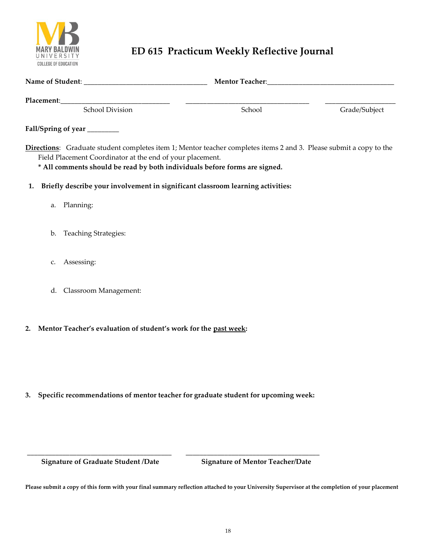

# **ED 615 Practicum Weekly Reflective Journal**

|    | Placement: School Division School Privision                                                                                                                                                                                                                                                  | School | Grade/Subject |
|----|----------------------------------------------------------------------------------------------------------------------------------------------------------------------------------------------------------------------------------------------------------------------------------------------|--------|---------------|
|    |                                                                                                                                                                                                                                                                                              |        |               |
|    | Fall/Spring of year _______<br>Directions: Graduate student completes item 1; Mentor teacher completes items 2 and 3. Please submit a copy to the<br>Field Placement Coordinator at the end of your placement.<br>* All comments should be read by both individuals before forms are signed. |        |               |
| 1. | Briefly describe your involvement in significant classroom learning activities:                                                                                                                                                                                                              |        |               |
|    | a. Planning:                                                                                                                                                                                                                                                                                 |        |               |
|    | b. Teaching Strategies:                                                                                                                                                                                                                                                                      |        |               |
| C. | Assessing:                                                                                                                                                                                                                                                                                   |        |               |
| d. | Classroom Management:                                                                                                                                                                                                                                                                        |        |               |
| 2. | Mentor Teacher's evaluation of student's work for the past week:                                                                                                                                                                                                                             |        |               |

**3. Specific recommendations of mentor teacher for graduate student for upcoming week:**

**\_\_\_\_\_\_\_\_\_\_\_\_\_\_\_\_\_\_\_\_\_\_\_\_\_\_\_\_\_\_\_\_\_\_\_\_\_\_\_\_\_ \_\_\_\_\_\_\_\_\_\_\_\_\_\_\_\_\_\_\_\_\_\_\_\_\_\_\_\_\_\_\_\_\_\_\_\_\_\_**

 **Signature of Graduate Student /Date Signature of Mentor Teacher/Date**

**Please submit a copy of this form with your final summary reflection attached to your University Supervisor at the completion of your placement**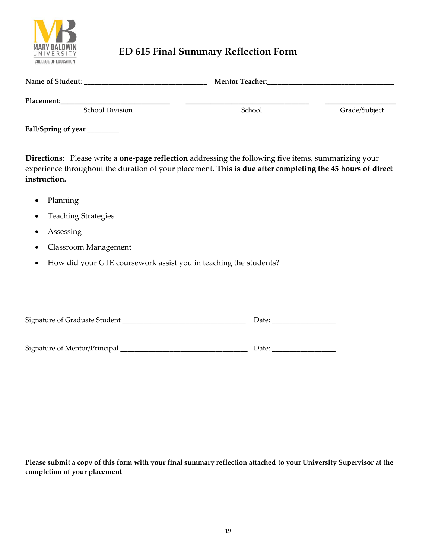

# **ED 615 Final Summary Reflection Form**

| Name of Student:                     | <b>Mentor Teacher:</b> |               |
|--------------------------------------|------------------------|---------------|
| Placement:<br><b>School Division</b> | School                 | Grade/Subject |

**Fall/Spring of year** \_\_\_\_\_\_\_\_\_

**Directions:** Please write a **one-page reflection** addressing the following five items, summarizing your experience throughout the duration of your placement. **This is due after completing the 45 hours of direct instruction.**

- Planning
- Teaching Strategies
- **Assessing**
- Classroom Management
- How did your GTE coursework assist you in teaching the students?

| Signature of Graduate Student | Date: |
|-------------------------------|-------|
|                               |       |
|                               |       |
| Signature of Mentor/Principal | Date: |

**Please submit a copy of this form with your final summary reflection attached to your University Supervisor at the completion of your placement**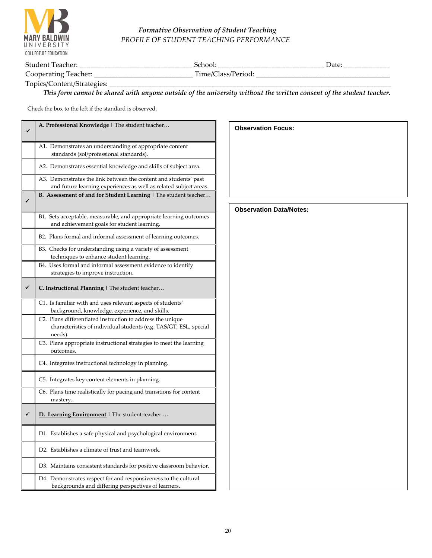

#### *Formative Observation of Student Teaching PROFILE OF STUDENT TEACHING PERFORMANCE*

| $\sim$                    | _____________________________<br>____ | ____<br>____<br>____ |
|---------------------------|---------------------------------------|----------------------|
| ∽<br>÷<br>___<br>________ | .<br>___<br>___                       |                      |

Topics/Content/Strategies: \_

*This form cannot be shared with anyone outside of the university without the written consent of the student teacher.*

Check the box to the left if the standard is observed.

| ✔ | A. Professional Knowledge   The student teacher                                                                                            | <b>Observation Focus:</b>      |
|---|--------------------------------------------------------------------------------------------------------------------------------------------|--------------------------------|
|   | A1. Demonstrates an understanding of appropriate content<br>standards (sol/professional standards).                                        |                                |
|   | A2. Demonstrates essential knowledge and skills of subject area.                                                                           |                                |
|   | A3. Demonstrates the link between the content and students' past<br>and future learning experiences as well as related subject areas.      |                                |
| ✓ | B. Assessment of and for Student Learning   The student teacher                                                                            |                                |
|   | B1. Sets acceptable, measurable, and appropriate learning outcomes<br>and achievement goals for student learning.                          | <b>Observation Data/Notes:</b> |
|   | B2. Plans formal and informal assessment of learning outcomes.                                                                             |                                |
|   | B3. Checks for understanding using a variety of assessment<br>techniques to enhance student learning.                                      |                                |
|   | B4. Uses formal and informal assessment evidence to identify<br>strategies to improve instruction.                                         |                                |
| ✔ | C. Instructional Planning   The student teacher                                                                                            |                                |
|   | C1. Is familiar with and uses relevant aspects of students'<br>background, knowledge, experience, and skills.                              |                                |
|   | C2. Plans differentiated instruction to address the unique<br>characteristics of individual students (e.g. TAS/GT, ESL, special<br>needs). |                                |
|   | C3. Plans appropriate instructional strategies to meet the learning<br>outcomes.                                                           |                                |
|   | C4. Integrates instructional technology in planning.                                                                                       |                                |
|   | C5. Integrates key content elements in planning.                                                                                           |                                |
|   | C6. Plans time realistically for pacing and transitions for content<br>mastery.                                                            |                                |
| ✔ | D. Learning Environment   The student teacher                                                                                              |                                |
|   | D1. Establishes a safe physical and psychological environment.                                                                             |                                |
|   | D2. Establishes a climate of trust and teamwork.                                                                                           |                                |
|   | D3. Maintains consistent standards for positive classroom behavior.                                                                        |                                |
|   | D4. Demonstrates respect for and responsiveness to the cultural<br>backgrounds and differing perspectives of learners.                     |                                |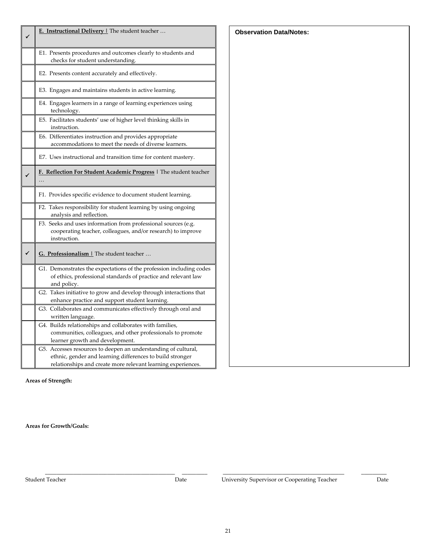| E. Instructional Delivery   The student teacher                                                                                                                                             |
|---------------------------------------------------------------------------------------------------------------------------------------------------------------------------------------------|
| E1. Presents procedures and outcomes clearly to students and<br>checks for student understanding.                                                                                           |
| E2. Presents content accurately and effectively.                                                                                                                                            |
| E3. Engages and maintains students in active learning.                                                                                                                                      |
| E4. Engages learners in a range of learning experiences using<br>technology.                                                                                                                |
| E5. Facilitates students' use of higher level thinking skills in<br>instruction.                                                                                                            |
| E6. Differentiates instruction and provides appropriate<br>accommodations to meet the needs of diverse learners.                                                                            |
| E7. Uses instructional and transition time for content mastery.                                                                                                                             |
| F. Reflection For Student Academic Progress   The student teacher                                                                                                                           |
| F1. Provides specific evidence to document student learning.                                                                                                                                |
| F2. Takes responsibility for student learning by using ongoing<br>analysis and reflection.                                                                                                  |
| F3. Seeks and uses information from professional sources (e.g.<br>cooperating teacher, colleagues, and/or research) to improve<br>instruction.                                              |
| G. Professionalism   The student teacher                                                                                                                                                    |
| G1. Demonstrates the expectations of the profession including codes<br>of ethics, professional standards of practice and relevant law<br>and policy.                                        |
| G2. Takes initiative to grow and develop through interactions that<br>enhance practice and support student learning.                                                                        |
| G3. Collaborates and communicates effectively through oral and<br>written language.                                                                                                         |
| G4. Builds relationships and collaborates with families,<br>communities, colleagues, and other professionals to promote<br>learner growth and development.                                  |
| G5. Accesses resources to deepen an understanding of cultural,<br>ethnic, gender and learning differences to build stronger<br>relationships and create more relevant learning experiences. |

**Areas of Strength:**

**Areas for Growth/Goals:** 

Student Teacher Date Date University Supervisor or Cooperating Teacher Date

 **Observation Data/Notes:**

**\_\_\_\_\_\_\_\_\_\_\_\_\_\_\_\_\_\_\_\_\_\_\_\_\_\_\_\_\_\_\_\_\_\_\_\_\_\_\_\_\_\_\_\_\_\_ \_\_\_\_\_\_\_\_\_ \_\_\_\_\_\_\_\_\_\_\_\_\_\_\_\_\_\_\_\_\_\_\_\_\_\_\_\_\_\_\_\_\_\_\_\_\_\_\_\_\_\_\_ \_\_\_\_\_\_\_\_\_**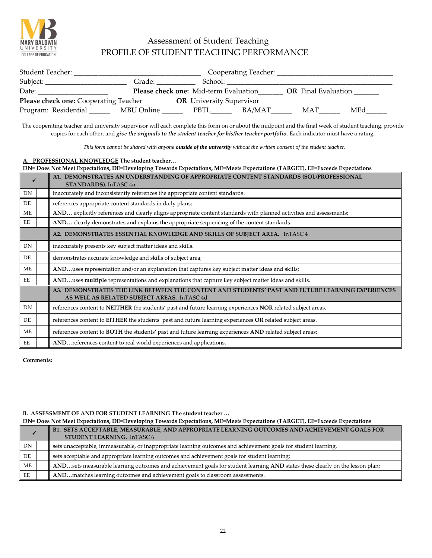

## Assessment of Student Teaching PROFILE OF STUDENT TEACHING PERFORMANCE

| Student Teacher:                                                               |            |                                       | Cooperating Teacher: ______ |                            |     |  |
|--------------------------------------------------------------------------------|------------|---------------------------------------|-----------------------------|----------------------------|-----|--|
| Subject:                                                                       | Grade:     | School:                               |                             |                            |     |  |
| Date:                                                                          |            | Please check one: Mid-term Evaluation |                             | <b>OR</b> Final Evaluation |     |  |
| Please check one: Cooperating Teacher _____<br><b>OR</b> University Supervisor |            |                                       |                             |                            |     |  |
| Program: Residential ____                                                      | MBU Online | PBTL.                                 | BA/MAT                      | MAT                        | MEd |  |

The cooperating teacher and university supervisor will each complete this form on or about the midpoint and the final week of student teaching, provide copies for each other, and *give the originals to the student teacher for his/her teacher portfolio*. Each indicator must have a rating.

*This form cannot be shared with anyone outside of the university without the written consent of the student teacher.*

#### **A. PROFESSIONAL KNOWLEDGE The student teacher…**

|           | DN= Does Not Meet Expectations, DE=Developing Towards Expectations, ME=Meets Expectations (TARGET), EE=Exceeds Expectations |                                                                                                                                                 |  |
|-----------|-----------------------------------------------------------------------------------------------------------------------------|-------------------------------------------------------------------------------------------------------------------------------------------------|--|
|           |                                                                                                                             | A1. DEMONSTRATES AN UNDERSTANDING OF APPROPRIATE CONTENT STANDARDS (SOL/PROFESSIONAL<br>STANDARDS). InTASC 4n                                   |  |
| DN        |                                                                                                                             | inaccurately and inconsistently references the appropriate content standards.                                                                   |  |
| DE        |                                                                                                                             | references appropriate content standards in daily plans;                                                                                        |  |
| ME        |                                                                                                                             | AND explicitly references and clearly aligns appropriate content standards with planned activities and assessments;                             |  |
| EE        |                                                                                                                             | AND clearly demonstrates and explains the appropriate sequencing of the content standards.                                                      |  |
|           |                                                                                                                             | A2. DEMONSTRATES ESSENTIAL KNOWLEDGE AND SKILLS OF SUBJECT AREA. InTASC 4                                                                       |  |
| <b>DN</b> |                                                                                                                             | inaccurately presents key subject matter ideas and skills.                                                                                      |  |
| DE        |                                                                                                                             | demonstrates accurate knowledge and skills of subject area;                                                                                     |  |
| ME        |                                                                                                                             | ANDuses representation and/or an explanation that captures key subject matter ideas and skills;                                                 |  |
| EE        |                                                                                                                             | ANDuses <b>multiple</b> representations and explanations that capture key subject matter ideas and skills.                                      |  |
|           |                                                                                                                             | A3. DEMONSTRATES THE LINK BETWEEN THE CONTENT AND STUDENTS' PAST AND FUTURE LEARNING EXPERIENCES<br>AS WELL AS RELATED SUBJECT AREAS. InTASC 4d |  |
| <b>DN</b> |                                                                                                                             | references content to NEITHER the students' past and future learning experiences NOR related subject areas.                                     |  |
| DE        |                                                                                                                             | references content to EITHER the students' past and future learning experiences OR related subject areas.                                       |  |
| ME        |                                                                                                                             | references content to BOTH the students' past and future learning experiences AND related subject areas;                                        |  |
| EE        |                                                                                                                             | AND references content to real world experiences and applications.                                                                              |  |

**Comments:** 

#### **B. ASSESSMENT OF AND FOR STUDENT LEARNING The student teacher …**

**DN= Does Not Meet Expectations, DE=Developing Towards Expectations, ME=Meets Expectations (TARGET), EE=Exceeds Expectations**

|    |  | B1. SETS ACCEPTABLE, MEASURABLE, AND APPROPRIATE LEARNING OUTCOMES AND ACHIEVEMENT GOALS FOR<br><b>STUDENT LEARNING. InTASC 6</b> |
|----|--|-----------------------------------------------------------------------------------------------------------------------------------|
| DN |  | sets unacceptable, immeasurable, or inappropriate learning outcomes and achievement goals for student learning.                   |
| DE |  | sets acceptable and appropriate learning outcomes and achievement goals for student learning;                                     |
| ME |  | ANDsets measurable learning outcomes and achievement goals for student learning AND states these clearly on the lesson plan;      |
| EE |  | ANDmatches learning outcomes and achievement goals to classroom assessments.                                                      |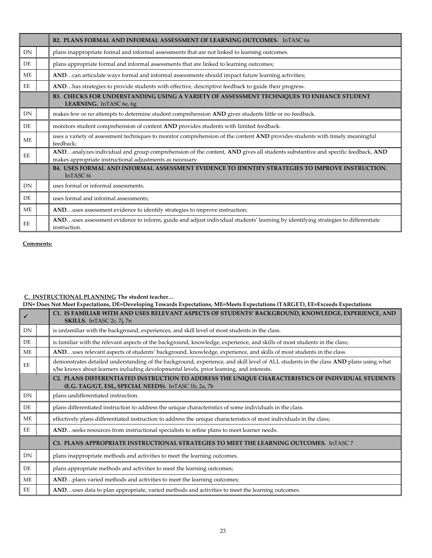|                | B2. PLANS FORMAL AND INFORMAL ASSESSMENT OF LEARNING OUTCOMES. InTASC 6a                                                                                                                  |
|----------------|-------------------------------------------------------------------------------------------------------------------------------------------------------------------------------------------|
| <b>DN</b>      | plans inappropriate formal and informal assessments that are not linked to learning outcomes.                                                                                             |
| D <sub>E</sub> | plans appropriate formal and informal assessments that are linked to learning outcomes;                                                                                                   |
| <b>ME</b>      | ANDcan articulate ways formal and informal assessments should impact future learning activities;                                                                                          |
| EE             | ANDhas strategies to provide students with effective, descriptive feedback to guide their progress.                                                                                       |
|                | B3. CHECKS FOR UNDERSTANDING USING A VARIETY OF ASSESSMENT TECHNIQUES TO ENHANCE STUDENT<br>LEARNING. InTASC 6e, 6g                                                                       |
| DN             | makes few or no attempts to determine student comprehension AND gives students little or no feedback.                                                                                     |
| D <sub>E</sub> | monitors student comprehension of content AND provides students with limited feedback.                                                                                                    |
| <b>ME</b>      | uses a variety of assessment techniques to monitor comprehension of the content AND provides students with timely meaningful<br>feedback;                                                 |
| EE             | ANDanalyzes individual and group comprehension of the content, AND gives all students substantive and specific feedback, AND<br>makes appropriate instructional adjustments as necessary. |
|                | <b>B4. USES FORMAL AND INFORMAL ASSESSMENT EVIDENCE TO IDENTIFY STRATEGIES TO IMPROVE INSTRUCTION.</b><br>InTASC 6i                                                                       |
| DN             | uses formal or informal assessments.                                                                                                                                                      |
| DE.            | uses formal and informal assessments;                                                                                                                                                     |
| ME             | ANDuses assessment evidence to identify strategies to improve instruction;                                                                                                                |
| EE             | ANDuses assessment evidence to inform, guide and adjust individual students' learning by identifying strategies to differentiate<br>instruction.                                          |

#### **C. INSTRUCTIONAL PLANNING The student teacher…**

#### **DN= Does Not Meet Expectations, DE=Developing Towards Expectations, ME=Meets Expectations (TARGET), EE=Exceeds Expectations**

|           |  | C1. IS FAMILIAR WITH AND USES RELEVANT ASPECTS OF STUDENTS' BACKGROUND, KNOWLEDGE, EXPERIENCE, AND<br>SKILLS. InTASC 2c, 7j, 7n                                                                                                  |
|-----------|--|----------------------------------------------------------------------------------------------------------------------------------------------------------------------------------------------------------------------------------|
| DN        |  | is unfamiliar with the background, experiences, and skill level of most students in the class.                                                                                                                                   |
| DE        |  | is familiar with the relevant aspects of the background, knowledge, experience, and skills of most students in the class;                                                                                                        |
| <b>ME</b> |  | ANDuses relevant aspects of students' background, knowledge, experience, and skills of most students in the class.                                                                                                               |
| EE        |  | demonstrates detailed understanding of the background, experience, and skill level of ALL students in the class AND plans using what<br>s/he knows about learners including developmental levels, prior learning, and interests. |
|           |  | C2. PLANS DIFFERENTIATED INSTRUCTION TO ADDRESS THE UNIQUE CHARACTERISTICS OF INDIVIDUAL STUDENTS<br>(E.G. TAG/GT, ESL, SPECIAL NEEDS). InTASC 1b, 2a, 7b                                                                        |
| DN        |  | plans undifferentiated instruction.                                                                                                                                                                                              |
| DE        |  | plans differentiated instruction to address the unique characteristics of some individuals in the class.                                                                                                                         |
| <b>ME</b> |  | effectively plans differentiated instruction to address the unique characteristics of most individuals in the class;                                                                                                             |
| EE        |  | ANDseeks resources from instructional specialists to refine plans to meet learner needs.                                                                                                                                         |
|           |  | C3. PLANS APPROPRIATE INSTRUCTIONAL STRATEGIES TO MEET THE LEARNING OUTCOMES. InTASC 7                                                                                                                                           |
| DN        |  | plans inappropriate methods and activities to meet the learning outcomes.                                                                                                                                                        |
| DE        |  | plans appropriate methods and activities to meet the learning outcomes;                                                                                                                                                          |
| <b>ME</b> |  | ANDplans varied methods and activities to meet the learning outcomes;                                                                                                                                                            |
| EE        |  | ANDuses data to plan appropriate, varied methods and activities to meet the learning outcomes.                                                                                                                                   |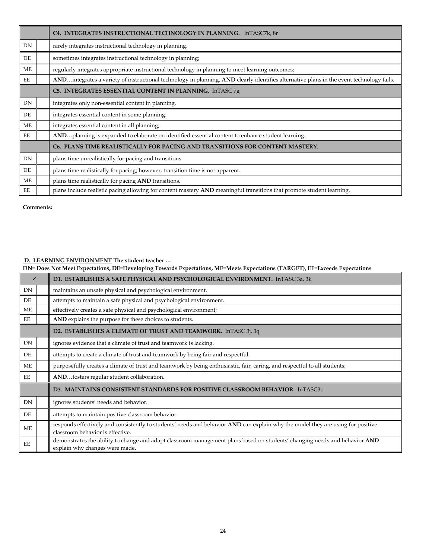|           | C4. INTEGRATES INSTRUCTIONAL TECHNOLOGY IN PLANNING. InTASC7k, 8r                                                                        |
|-----------|------------------------------------------------------------------------------------------------------------------------------------------|
| DN        | rarely integrates instructional technology in planning.                                                                                  |
| DE        | sometimes integrates instructional technology in planning;                                                                               |
| ME        | regularly integrates appropriate instructional technology in planning to meet learning outcomes;                                         |
| EE        | ANDintegrates a variety of instructional technology in planning, AND clearly identifies alternative plans in the event technology fails. |
|           | C5. INTEGRATES ESSENTIAL CONTENT IN PLANNING. InTASC 7g                                                                                  |
| <b>DN</b> | integrates only non-essential content in planning.                                                                                       |
| DE        | integrates essential content in some planning.                                                                                           |
| ME        | integrates essential content in all planning;                                                                                            |
| EE        | ANDplanning is expanded to elaborate on identified essential content to enhance student learning.                                        |
|           | C6. PLANS TIME REALISTICALLY FOR PACING AND TRANSITIONS FOR CONTENT MASTERY.                                                             |
| DN        | plans time unrealistically for pacing and transitions.                                                                                   |
| DE        | plans time realistically for pacing; however, transition time is not apparent.                                                           |
| <b>ME</b> | plans time realistically for pacing AND transitions.                                                                                     |
| EE        | plans include realistic pacing allowing for content mastery AND meaningful transitions that promote student learning.                    |

#### **D. LEARNING ENVIRONMENT The student teacher …**

**DN= Does Not Meet Expectations, DE=Developing Towards Expectations, ME=Meets Expectations (TARGET), EE=Exceeds Expectations**

| $\checkmark$   | D1. ESTABLISHES A SAFE PHYSICAL AND PSYCHOLOGICAL ENVIRONMENT. InTASC 3a, 3k                                                                                        |
|----------------|---------------------------------------------------------------------------------------------------------------------------------------------------------------------|
| DN.            | maintains an unsafe physical and psychological environment.                                                                                                         |
| DE             | attempts to maintain a safe physical and psychological environment.                                                                                                 |
| ME             | effectively creates a safe physical and psychological environment;                                                                                                  |
| EE             | AND explains the purpose for these choices to students.                                                                                                             |
|                | D2. ESTABLISHES A CLIMATE OF TRUST AND TEAMWORK. InTASC 3j, 3q                                                                                                      |
| <b>DN</b>      | ignores evidence that a climate of trust and teamwork is lacking.                                                                                                   |
| D <sub>E</sub> | attempts to create a climate of trust and teamwork by being fair and respectful.                                                                                    |
| ME             | purposefully creates a climate of trust and teamwork by being enthusiastic, fair, caring, and respectful to all students;                                           |
| EE             | ANDfosters regular student collaboration.                                                                                                                           |
|                | D3. MAINTAINS CONSISTENT STANDARDS FOR POSITIVE CLASSROOM BEHAVIOR. InTASC3c                                                                                        |
| DN             | ignores students' needs and behavior.                                                                                                                               |
| D <sub>E</sub> | attempts to maintain positive classroom behavior.                                                                                                                   |
| ME             | responds effectively and consistently to students' needs and behavior AND can explain why the model they are using for positive<br>classroom behavior is effective. |
| EE             | demonstrates the ability to change and adapt classroom management plans based on students' changing needs and behavior AND<br>explain why changes were made.        |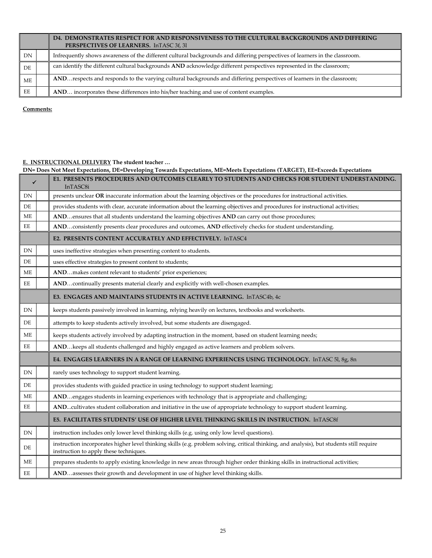|    |  | D4. DEMONSTRATES RESPECT FOR AND RESPONSIVENESS TO THE CULTURAL BACKGROUNDS AND DIFFERING<br>PERSPECTIVES OF LEARNERS. InTASC 3f, 3l |
|----|--|--------------------------------------------------------------------------------------------------------------------------------------|
| DN |  | Infrequently shows awareness of the different cultural backgrounds and differing perspectives of learners in the classroom.          |
| DE |  | can identify the different cultural backgrounds AND acknowledge different perspectives represented in the classroom;                 |
| ME |  | ANDrespects and responds to the varying cultural backgrounds and differing perspectives of learners in the classroom;                |
| EE |  | AND incorporates these differences into his/her teaching and use of content examples.                                                |

#### **E. INSTRUCTIONAL DELIVERY The student teacher …**

|              | DN= Does Not Meet Expectations, DE=Developing Towards Expectations, ME=Meets Expectations (TARGET), EE=Exceeds Expectations |                                                                                                                                                                                     |  |
|--------------|-----------------------------------------------------------------------------------------------------------------------------|-------------------------------------------------------------------------------------------------------------------------------------------------------------------------------------|--|
| $\checkmark$ |                                                                                                                             | E1. PRESENTS PROCEDURES AND OUTCOMES CLEARLY TO STUDENTS AND CHECKS FOR STUDENT UNDERSTANDING.<br>InTASC8i                                                                          |  |
| DN           |                                                                                                                             | presents unclear OR inaccurate information about the learning objectives or the procedures for instructional activities.                                                            |  |
| DE           |                                                                                                                             | provides students with clear, accurate information about the learning objectives and procedures for instructional activities;                                                       |  |
| МE           |                                                                                                                             | ANDensures that all students understand the learning objectives AND can carry out those procedures;                                                                                 |  |
| EЕ           |                                                                                                                             | ANDconsistently presents clear procedures and outcomes, AND effectively checks for student understanding.                                                                           |  |
|              |                                                                                                                             | E2. PRESENTS CONTENT ACCURATELY AND EFFECTIVELY. InTASC4                                                                                                                            |  |
| DN           |                                                                                                                             | uses ineffective strategies when presenting content to students.                                                                                                                    |  |
| DE           |                                                                                                                             | uses effective strategies to present content to students;                                                                                                                           |  |
| ME           |                                                                                                                             | ANDmakes content relevant to students' prior experiences;                                                                                                                           |  |
| EЕ           |                                                                                                                             | ANDcontinually presents material clearly and explicitly with well-chosen examples.                                                                                                  |  |
|              |                                                                                                                             | E3. ENGAGES AND MAINTAINS STUDENTS IN ACTIVE LEARNING. InTASC4b, 4c                                                                                                                 |  |
| DN           |                                                                                                                             | keeps students passively involved in learning, relying heavily on lectures, textbooks and worksheets.                                                                               |  |
| DE           |                                                                                                                             | attempts to keep students actively involved, but some students are disengaged.                                                                                                      |  |
| ME           |                                                                                                                             | keeps students actively involved by adapting instruction in the moment, based on student learning needs;                                                                            |  |
| EЕ           |                                                                                                                             | ANDkeeps all students challenged and highly engaged as active learners and problem solvers.                                                                                         |  |
|              |                                                                                                                             | E4. ENGAGES LEARNERS IN A RANGE OF LEARNING EXPERIENCES USING TECHNOLOGY. InTASC 51, 8g, 8n                                                                                         |  |
| ${\rm DN}$   |                                                                                                                             | rarely uses technology to support student learning.                                                                                                                                 |  |
| DE           |                                                                                                                             | provides students with guided practice in using technology to support student learning;                                                                                             |  |
| ME           |                                                                                                                             | ANDengages students in learning experiences with technology that is appropriate and challenging;                                                                                    |  |
| EE           |                                                                                                                             | ANDcultivates student collaboration and initiative in the use of appropriate technology to support student learning.                                                                |  |
|              |                                                                                                                             | E5. FACILITATES STUDENTS' USE OF HIGHER LEVEL THINKING SKILLS IN INSTRUCTION. InTASC8f                                                                                              |  |
| ${\rm DN}$   |                                                                                                                             | instruction includes only lower level thinking skills (e.g. using only low level questions).                                                                                        |  |
| DE           |                                                                                                                             | instruction incorporates higher level thinking skills (e.g. problem solving, critical thinking, and analysis), but students still require<br>instruction to apply these techniques. |  |
| ME           |                                                                                                                             | prepares students to apply existing knowledge in new areas through higher order thinking skills in instructional activities;                                                        |  |
| EE           |                                                                                                                             | ANDassesses their growth and development in use of higher level thinking skills.                                                                                                    |  |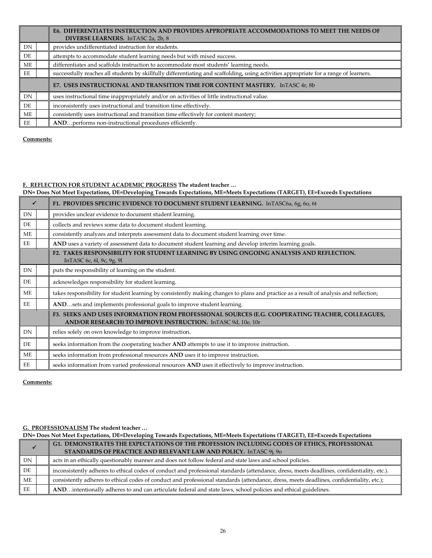|     | E6. DIFFERENTIATES INSTRUCTION AND PROVIDES APPROPRIATE ACCOMMODATIONS TO MEET THE NEEDS OF<br>DIVERSE LEARNERS. In TASC 2a, 2b, 8     |
|-----|----------------------------------------------------------------------------------------------------------------------------------------|
| DN  | provides undifferentiated instruction for students.                                                                                    |
| DE. | attempts to accommodate student learning needs but with mixed success.                                                                 |
| МE  | differentiates and scaffolds instruction to accommodate most students' learning needs.                                                 |
| EE  | successfully reaches all students by skillfully differentiating and scaffolding, using activities appropriate for a range of learners. |
|     | E7. USES INSTRUCTIONAL AND TRANSITION TIME FOR CONTENT MASTERY. InTASC 4r, 8b                                                          |
| DN  | uses instructional time inappropriately and/or on activities of little instructional value.                                            |
| DE  | inconsistently uses instructional and transition time effectively.                                                                     |
| МE  | consistently uses instructional and transition time effectively for content mastery;                                                   |
| EE  | ANDperforms non-instructional procedures efficiently.                                                                                  |

#### **F. REFLECTION FOR STUDENT ACADEMIC PROGRESS The student teacher …**

**DN= Does Not Meet Expectations, DE=Developing Towards Expectations, ME=Meets Expectations (TARGET), EE=Exceeds Expectations**

| ✓         | F1. PROVIDES SPECIFIC EVIDENCE TO DOCUMENT STUDENT LEARNING. InTASC6a, 6g, 6o, 6t                                                                               |
|-----------|-----------------------------------------------------------------------------------------------------------------------------------------------------------------|
| DN        | provides unclear evidence to document student learning.                                                                                                         |
| DE        | collects and reviews some data to document student learning.                                                                                                    |
| ME        | consistently analyzes and interprets assessment data to document student learning over time.                                                                    |
| EE        | AND uses a variety of assessment data to document student learning and develop interim learning goals.                                                          |
|           | F2. TAKES RESPONSIBILITY FOR STUDENT LEARNING BY USING ONGOING ANALYSIS AND REFLECTION.<br>In TASC 6c, 6l, 9c, 9g, 9l                                           |
| <b>DN</b> | puts the responsibility of learning on the student.                                                                                                             |
| DE        | acknowledges responsibility for student learning.                                                                                                               |
| <b>ME</b> | takes responsibility for student learning by consistently making changes to plans and practice as a result of analysis and reflection;                          |
| EE        | ANDsets and implements professional goals to improve student learning.                                                                                          |
|           | F3. SEEKS AND USES INFORMATION FROM PROFESSIONAL SOURCES (E.G. COOPERATING TEACHER, COLLEAGUES,<br>AND/OR RESEARCH) TO IMPROVE INSTRUCTION. InTASC 9d, 10e, 10r |
| <b>DN</b> | relies solely on own knowledge to improve instruction.                                                                                                          |
| DE        | seeks information from the cooperating teacher AND attempts to use it to improve instruction.                                                                   |
| <b>ME</b> | seeks information from professional resources AND uses it to improve instruction.                                                                               |
| EE        | seeks information from varied professional resources AND uses it effectively to improve instruction.                                                            |

**Comments:** 

#### **G. PROFESSIONALISM The student teacher …**

|    | DN= Does Not Meet Expectations, DE=Developing Towards Expectations, ME=Meets Expectations (TARGET), EE=Exceeds Expectations |                                                                                                                                            |  |
|----|-----------------------------------------------------------------------------------------------------------------------------|--------------------------------------------------------------------------------------------------------------------------------------------|--|
|    |                                                                                                                             | G1. DEMONSTRATES THE EXPECTATIONS OF THE PROFESSION INCLUDING CODES OF ETHICS, PROFESSIONAL                                                |  |
|    |                                                                                                                             | STANDARDS OF PRACTICE AND RELEVANT LAW AND POLICY. InTASC 9j, 9o                                                                           |  |
| DN |                                                                                                                             | acts in an ethically questionably manner and does not follow federal and state laws and school policies.                                   |  |
| DE |                                                                                                                             | inconsistently adheres to ethical codes of conduct and professional standards (attendance, dress, meets deadlines, confidentiality, etc.). |  |
| ME |                                                                                                                             | consistently adheres to ethical codes of conduct and professional standards (attendance, dress, meets deadlines, confidentiality, etc.);   |  |
| EE |                                                                                                                             | ANDintentionally adheres to and can articulate federal and state laws, school policies and ethical guidelines.                             |  |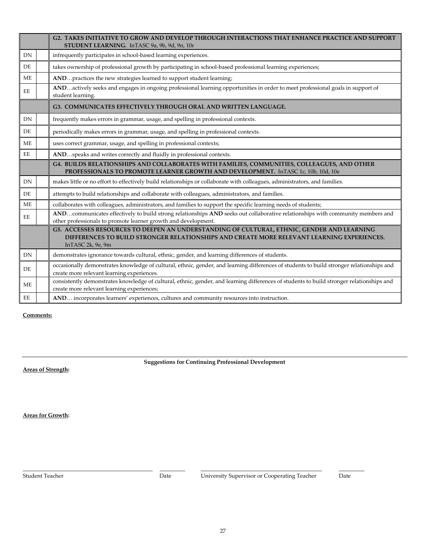|           | <b>G2. TAKES INITIATIVE TO GROW AND DEVELOP THROUGH INTERACTIONS THAT ENHANCE PRACTICE AND SUPPORT</b><br>STUDENT LEARNING. InTASC 9a, 9b, 9d, 9n, 10r                                                        |
|-----------|---------------------------------------------------------------------------------------------------------------------------------------------------------------------------------------------------------------|
| DN        | infrequently participates in school-based learning experiences.                                                                                                                                               |
| DE        | takes ownership of professional growth by participating in school-based professional learning experiences;                                                                                                    |
| <b>ME</b> | ANDpractices the new strategies learned to support student learning;                                                                                                                                          |
| EE        | ANDactively seeks and engages in ongoing professional learning opportunities in order to meet professional goals in support of<br>student learning.                                                           |
|           | G3. COMMUNICATES EFFECTIVELY THROUGH ORAL AND WRITTEN LANGUAGE.                                                                                                                                               |
| DN        | frequently makes errors in grammar, usage, and spelling in professional contexts.                                                                                                                             |
| DE        | periodically makes errors in grammar, usage, and spelling in professional contexts.                                                                                                                           |
| <b>ME</b> | uses correct grammar, usage, and spelling in professional contexts;                                                                                                                                           |
| EE        | ANDspeaks and writes correctly and fluidly in professional contexts.                                                                                                                                          |
|           | G4. BUILDS RELATIONSHIPS AND COLLABORATES WITH FAMILIES, COMMUNITIES, COLLEAGUES, AND OTHER<br>PROFESSIONALS TO PROMOTE LEARNER GROWTH AND DEVELOPMENT. InTASC 1c, 10b, 10d, 10e                              |
| DN        | makes little or no effort to effectively build relationships or collaborate with colleagues, administrators, and families.                                                                                    |
| DE        | attempts to build relationships and collaborate with colleagues, administrators, and families.                                                                                                                |
| ME        | collaborates with colleagues, administrators, and families to support the specific learning needs of students;                                                                                                |
| EE        | ANDcommunicates effectively to build strong relationships AND seeks out collaborative relationships with community members and<br>other professionals to promote learner growth and development.              |
|           | G5. ACCESSES RESOURCES TO DEEPEN AN UNDERSTANDING OF CULTURAL, ETHNIC, GENDER AND LEARNING<br>DIFFERENCES TO BUILD STRONGER RELATIONSHIPS AND CREATE MORE RELEVANT LEARNING EXPERIENCES.<br>InTASC 2k, 9e, 9m |
| DN        | demonstrates ignorance towards cultural, ethnic, gender, and learning differences of students.                                                                                                                |
| DE        | occasionally demonstrates knowledge of cultural, ethnic, gender, and learning differences of students to build stronger relationships and<br>create more relevant learning experiences.                       |
| <b>ME</b> | consistently demonstrates knowledge of cultural, ethnic, gender, and learning differences of students to build stronger relationships and<br>create more relevant learning experiences;                       |
| EE        | AND incorporates learners' experiences, cultures and community resources into instruction.                                                                                                                    |

**Suggestions for Continuing Professional Development**

**Areas of Strength:**

**Areas for Growth:**

**\_\_\_\_\_\_\_\_\_\_\_\_\_\_\_\_\_\_\_\_\_\_\_\_\_\_\_\_\_\_\_\_\_\_\_\_\_\_\_\_\_\_\_\_\_\_ \_\_\_\_\_\_\_\_\_ \_\_\_\_\_\_\_\_\_\_\_\_\_\_\_\_\_\_\_\_\_\_\_\_\_\_\_\_\_\_\_\_\_\_\_\_\_\_\_\_\_\_\_ \_\_\_\_\_\_\_\_\_**

Student Teacher Date University Supervisor or Cooperating Teacher Date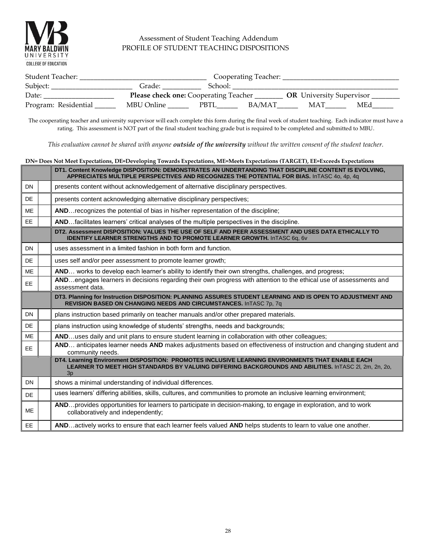

#### Assessment of Student Teaching Addendum PROFILE OF STUDENT TEACHING DISPOSITIONS

| Student Teacher:     |                                              |         | Cooperating Teacher: |                                 |     |
|----------------------|----------------------------------------------|---------|----------------------|---------------------------------|-----|
| Subject:             | Grade:                                       | School: |                      |                                 |     |
| Date:                | <b>Please check one: Cooperating Teacher</b> |         |                      | <b>OR</b> University Supervisor |     |
| Program: Residential | MBU Online                                   | PBTL    | BA/MAT               | MAT                             | MEd |

The cooperating teacher and university supervisor will each complete this form during the final week of student teaching. Each indicator must have a rating. This assessment is NOT part of the final student teaching grade but is required to be completed and submitted to MBU.

*This evaluation cannot be shared with anyone outside of the university without the written consent of the student teacher.*

|           | DN= Does Not Meet Expectations, DE=Developing Towards Expectations, ME=Meets Expectations (TARGET), EE=Exceeds Expectations |                                                                                                                                                                                                                 |  |  |  |  |
|-----------|-----------------------------------------------------------------------------------------------------------------------------|-----------------------------------------------------------------------------------------------------------------------------------------------------------------------------------------------------------------|--|--|--|--|
|           |                                                                                                                             | DT1. Content Knowledge DISPOSITION: DEMONSTRATES AN UNDERTANDING THAT DISCIPLINE CONTENT IS EVOLVING,<br>APPRECIATES MULTIPLE PERSPECTIVES AND RECOGNIZES THE POTENTIAL FOR BIAS. InTASC 40, 4p, 4q             |  |  |  |  |
| <b>DN</b> |                                                                                                                             | presents content without acknowledgement of alternative disciplinary perspectives.                                                                                                                              |  |  |  |  |
| DE        |                                                                                                                             | presents content acknowledging alternative disciplinary perspectives;                                                                                                                                           |  |  |  |  |
| <b>ME</b> |                                                                                                                             | AND recognizes the potential of bias in his/her representation of the discipline;                                                                                                                               |  |  |  |  |
| <b>EE</b> |                                                                                                                             | ANDfacilitates learners' critical analyses of the multiple perspectives in the discipline.                                                                                                                      |  |  |  |  |
|           |                                                                                                                             | DT2. Assessment DISPOSITION: VALUES THE USE OF SELF AND PEER ASSESSMENT AND USES DATA ETHICALLY TO<br><b>IDENTIFY LEARNER STRENGTHS AND TO PROMOTE LEARNER GROWTH. InTASC 6q, 6v</b>                            |  |  |  |  |
| <b>DN</b> |                                                                                                                             | uses assessment in a limited fashion in both form and function.                                                                                                                                                 |  |  |  |  |
| DE        |                                                                                                                             | uses self and/or peer assessment to promote learner growth;                                                                                                                                                     |  |  |  |  |
| <b>ME</b> |                                                                                                                             | AND works to develop each learner's ability to identify their own strengths, challenges, and progress;                                                                                                          |  |  |  |  |
| <b>EE</b> |                                                                                                                             | ANDengages learners in decisions regarding their own progress with attention to the ethical use of assessments and<br>assessment data.                                                                          |  |  |  |  |
|           |                                                                                                                             | DT3. Planning for Instruction DISPOSITION: PLANNING ASSURES STUDENT LEARNING AND IS OPEN TO ADJUSTMENT AND<br>REVISION BASED ON CHANGING NEEDS AND CIRCUMSTANCES. InTASC 7p, 7q                                 |  |  |  |  |
| <b>DN</b> |                                                                                                                             | plans instruction based primarily on teacher manuals and/or other prepared materials.                                                                                                                           |  |  |  |  |
| DE        |                                                                                                                             | plans instruction using knowledge of students' strengths, needs and backgrounds;                                                                                                                                |  |  |  |  |
| <b>ME</b> |                                                                                                                             | ANDuses daily and unit plans to ensure student learning in collaboration with other colleagues;                                                                                                                 |  |  |  |  |
| <b>EE</b> |                                                                                                                             | AND anticipates learner needs AND makes adjustments based on effectiveness of instruction and changing student and<br>community needs.                                                                          |  |  |  |  |
|           |                                                                                                                             | DT4. Learning Environment DISPOSITION: PROMOTES INCLUSIVE LEARNING ENVIRONMENTS THAT ENABLE EACH<br>LEARNER TO MEET HIGH STANDARDS BY VALUING DIFFERING BACKGROUNDS AND ABILITIES. InTASC 2I, 2m, 2n, 2o,<br>3p |  |  |  |  |
| <b>DN</b> |                                                                                                                             | shows a minimal understanding of individual differences.                                                                                                                                                        |  |  |  |  |
| DE        |                                                                                                                             | uses learners' differing abilities, skills, cultures, and communities to promote an inclusive learning environment;                                                                                             |  |  |  |  |
| <b>ME</b> |                                                                                                                             | ANDprovides opportunities for learners to participate in decision-making, to engage in exploration, and to work<br>collaboratively and independently;                                                           |  |  |  |  |
| <b>EE</b> |                                                                                                                             | ANDactively works to ensure that each learner feels valued AND helps students to learn to value one another.                                                                                                    |  |  |  |  |